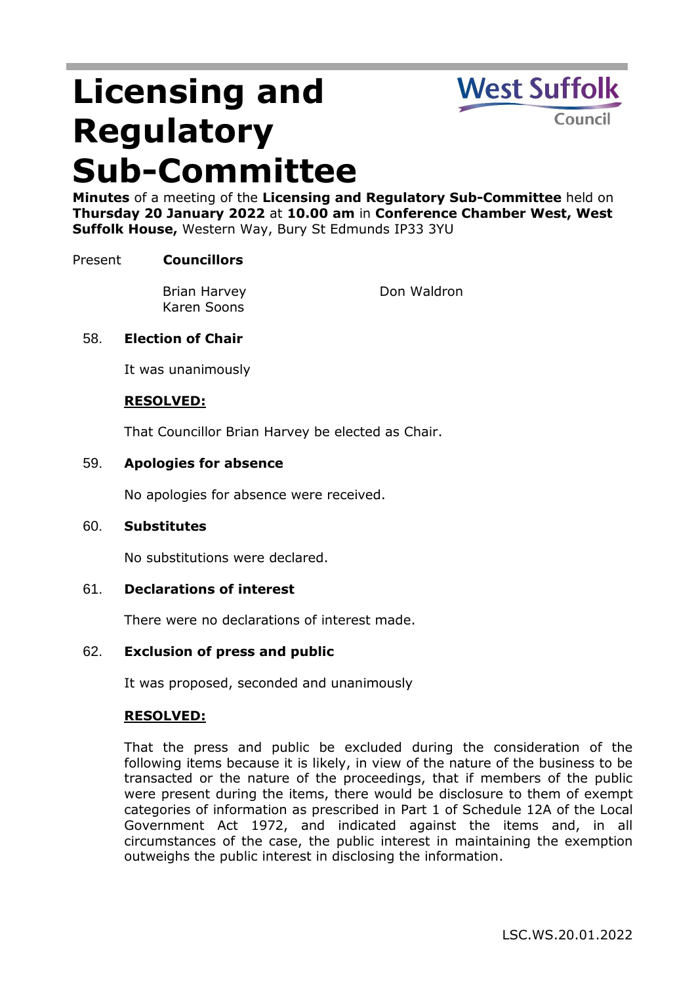# **Licensing and Regulatory Sub-Committee**



**Minutes** of a meeting of the **Licensing and Regulatory Sub-Committee** held on **Thursday 20 January 2022** at **10.00 am** in **Conference Chamber West, West Suffolk House,** Western Way, Bury St Edmunds IP33 3YU

## Present **Councillors**

Brian Harvey Karen Soons

Don Waldron

## 58. **Election of Chair**

It was unanimously

### **RESOLVED:**

That Councillor Brian Harvey be elected as Chair.

#### 59. **Apologies for absence**

No apologies for absence were received.

#### 60. **Substitutes**

No substitutions were declared.

#### 61. **Declarations of interest**

There were no declarations of interest made.

#### 62. **Exclusion of press and public**

It was proposed, seconded and unanimously

#### **RESOLVED:**

That the press and public be excluded during the consideration of the following items because it is likely, in view of the nature of the business to be transacted or the nature of the proceedings, that if members of the public were present during the items, there would be disclosure to them of exempt categories of information as prescribed in Part 1 of Schedule 12A of the Local Government Act 1972, and indicated against the items and, in all circumstances of the case, the public interest in maintaining the exemption outweighs the public interest in disclosing the information.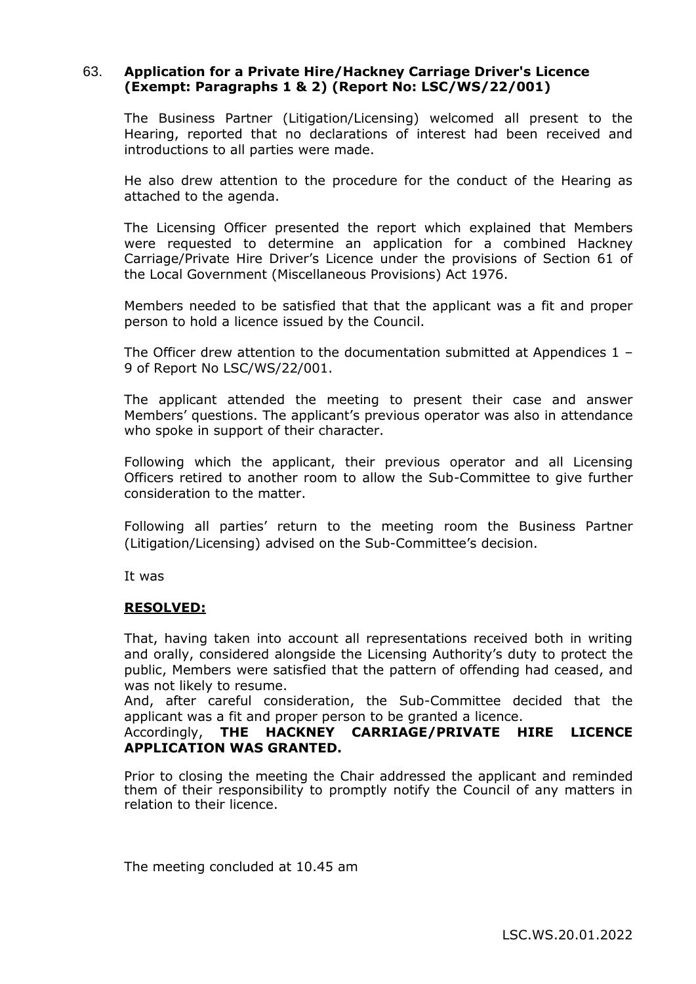## 63. **Application for a Private Hire/Hackney Carriage Driver's Licence (Exempt: Paragraphs 1 & 2) (Report No: LSC/WS/22/001)**

The Business Partner (Litigation/Licensing) welcomed all present to the Hearing, reported that no declarations of interest had been received and introductions to all parties were made.

He also drew attention to the procedure for the conduct of the Hearing as attached to the agenda.

The Licensing Officer presented the report which explained that Members were requested to determine an application for a combined Hackney Carriage/Private Hire Driver's Licence under the provisions of Section 61 of the Local Government (Miscellaneous Provisions) Act 1976.

Members needed to be satisfied that that the applicant was a fit and proper person to hold a licence issued by the Council.

The Officer drew attention to the documentation submitted at Appendices  $1 -$ 9 of Report No LSC/WS/22/001.

The applicant attended the meeting to present their case and answer Members' questions. The applicant's previous operator was also in attendance who spoke in support of their character.

Following which the applicant, their previous operator and all Licensing Officers retired to another room to allow the Sub-Committee to give further consideration to the matter.

Following all parties' return to the meeting room the Business Partner (Litigation/Licensing) advised on the Sub-Committee's decision.

It was

#### **RESOLVED:**

That, having taken into account all representations received both in writing and orally, considered alongside the Licensing Authority's duty to protect the public, Members were satisfied that the pattern of offending had ceased, and was not likely to resume.

And, after careful consideration, the Sub-Committee decided that the applicant was a fit and proper person to be granted a licence.

#### Accordingly, **THE HACKNEY CARRIAGE/PRIVATE HIRE LICENCE APPLICATION WAS GRANTED.**

Prior to closing the meeting the Chair addressed the applicant and reminded them of their responsibility to promptly notify the Council of any matters in relation to their licence.

The meeting concluded at 10.45 am